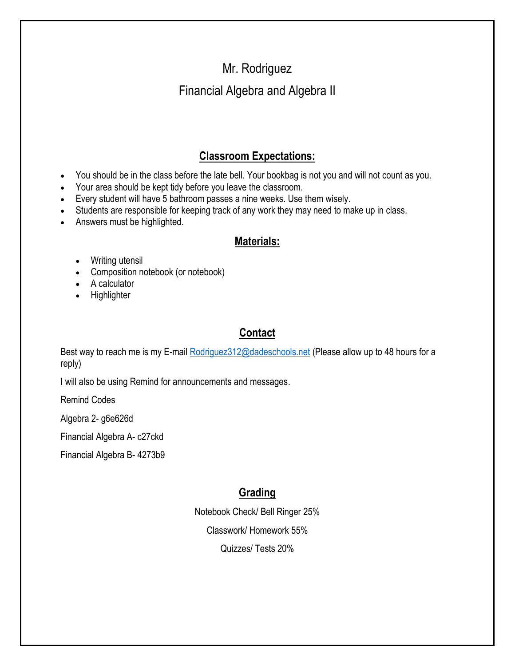# Mr. Rodriguez Financial Algebra and Algebra II

# **Classroom Expectations:**

- You should be in the class before the late bell. Your bookbag is not you and will not count as you.
- Your area should be kept tidy before you leave the classroom.
- Every student will have 5 bathroom passes a nine weeks. Use them wisely.
- Students are responsible for keeping track of any work they may need to make up in class.
- Answers must be highlighted.

## **Materials:**

- Writing utensil
- Composition notebook (or notebook)
- A calculator
- **Highlighter**

### **Contact**

Best way to reach me is my E-mai[l Rodriguez312@dadeschools.net](mailto:Rodriguez312@dadeschools.net) (Please allow up to 48 hours for a reply)

I will also be using Remind for announcements and messages.

Remind Codes

Algebra 2- g6e626d

Financial Algebra A- c27ckd

Financial Algebra B- 4273b9

# **Grading**

Notebook Check/ Bell Ringer 25%

Classwork/ Homework 55%

Quizzes/ Tests 20%